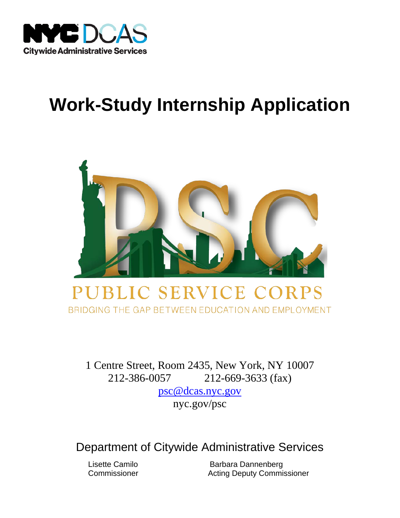

# **Work-Study Internship Application**



BRIDGING THE GAP BETWEEN EDUCATION AND EMPLOYMENT

 1 Centre Street, Room 2435, New York, NY 10007 212-386-0057 212-669-3633 (fax) [psc@dcas.nyc.gov](mailto:psc@dcas.nyc.gov) 

[nyc.gov/psc](https://nyc.gov/psc) 

Department of Citywide Administrative Services

Lisette Camilo Commissioner

Barbara Dannenberg **Acting Deputy Commissioner**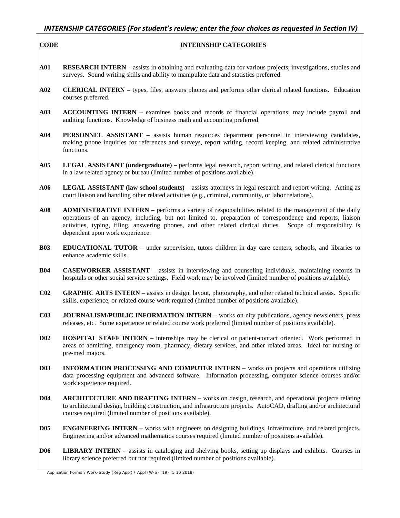## *INTERNSHIP CATEGORIES (For student's review; enter the four choices as requested in Section IV)*

#### 

#### **INTERNSHIP CATEGORIES**

- **A01 RESEARCH INTERN**  assists in obtaining and evaluating data for various projects, investigations, studies and surveys. Sound writing skills and ability to manipulate data and statistics preferred.
- **A02 CLERICAL INTERN** types, files, answers phones and performs other clerical related functions. Education courses preferred.
- **A03 ACCOUNTING INTERN** examines books and records of financial operations; may include payroll and auditing functions. Knowledge of business math and accounting preferred.
- **A04 PERSONNEL ASSISTANT**  assists human resources department personnel in interviewing candidates, making phone inquiries for references and surveys, report writing, record keeping, and related administrative functions.
- **A05 LEGAL ASSISTANT (undergraduate)**  performs legal research, report writing, and related clerical functions in a law related agency or bureau (limited number of positions available).
- **A06 LEGAL ASSISTANT (law school students)**  assists attorneys in legal research and report writing. Acting as court liaison and handling other related activities (e.g., criminal, community, or labor relations).
- **A08 ADMINISTRATIVE INTERN**  performs a variety of responsibilities related to the management of the daily activities, typing, filing, answering phones, and other related clerical duties. Scope of responsibility is operations of an agency; including, but not limited to, preparation of correspondence and reports, liaison dependent upon work experience.
- **B03 EDUCATIONAL TUTOR**  under supervision, tutors children in day care centers, schools, and libraries to enhance academic skills.
- **B04 CASEWORKER ASSISTANT**  assists in interviewing and counseling individuals, maintaining records in hospitals or other social service settings. Field work may be involved (limited number of positions available).
- **C02 GRAPHIC ARTS INTERN**  assists in design, layout, photography, and other related technical areas. Specific skills, experience, or related course work required (limited number of positions available).
- **C03 JOURNALISM/PUBLIC INFORMATION INTERN**  works on city publications, agency newsletters, press releases, etc. Some experience or related course work preferred (limited number of positions available).
- **D02 HOSPITAL STAFF INTERN**  internships may be clerical or patient-contact oriented. Work performed in areas of admitting, emergency room, pharmacy, dietary services, and other related areas. Ideal for nursing or pre-med majors.
- **D03** INFORMATION PROCESSING AND COMPUTER INTERN works on projects and operations utilizing data processing equipment and advanced software. Information processing, computer science courses and/or work experience required.
- **D04** ARCHITECTURE AND DRAFTING INTERN works on design, research, and operational projects relating to architectural design, building construction, and infrastructure projects. AutoCAD, drafting and/or architectural courses required (limited number of positions available).
- **D05 ENGINEERING INTERN**  works with engineers on designing buildings, infrastructure, and related projects. Engineering and/or advanced mathematics courses required (limited number of positions available).
- **D06 LIBRARY INTERN**  assists in cataloging and shelving books, setting up displays and exhibits. Courses in library science preferred but not required (limited number of positions available).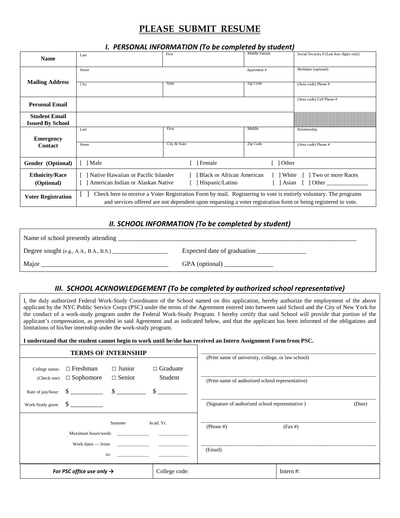# **PLEASE SUBMIT RESUME**

 *I. PERSONAL INFORMATION (To be completed by student)*

| <b>Name</b>                                     | Last                                                                                                                                                                                                                              | First                            | Middle Initials | Social Security # (Last four digits only) |
|-------------------------------------------------|-----------------------------------------------------------------------------------------------------------------------------------------------------------------------------------------------------------------------------------|----------------------------------|-----------------|-------------------------------------------|
|                                                 | Street                                                                                                                                                                                                                            |                                  | Apartment#      | Birthdate (optional)                      |
| <b>Mailing Address</b>                          | City                                                                                                                                                                                                                              | <b>State</b>                     | Zip Code        | (Area code) Phone #                       |
| <b>Personal Email</b>                           |                                                                                                                                                                                                                                   |                                  |                 | (Area code) Cell Phone #                  |
| <b>Student Email</b><br><b>Issued By School</b> |                                                                                                                                                                                                                                   |                                  |                 |                                           |
| <b>Emergency</b>                                | Last                                                                                                                                                                                                                              | First                            | Middle          | Relationship                              |
| Contact                                         | Street                                                                                                                                                                                                                            | City & State                     | Zip Code        | (Area code) Phone #                       |
| Gender (Optional)                               | [ ] Male                                                                                                                                                                                                                          | Female                           | Other           |                                           |
| <b>Ethnicity/Race</b>                           | Native Hawaiian or Pacific Islander                                                                                                                                                                                               | <b>Black or African American</b> | White           | Two or more Races                         |
| (Optional)                                      | American Indian or Alaskan Native                                                                                                                                                                                                 | Hispanic/Latino                  | [ ] Asian       | $\lceil$ 1 Other                          |
| <b>Voter Registration</b>                       | Check here to receive a Voter Registration Form by mail. Registering to vote is entirely voluntary. The programs<br>and services offered are not dependent upon requesting a voter registration form or being registered to vote. |                                  |                 |                                           |

### *II. SCHOOL INFORMATION (To be completed by student)*

| Name of school presently attending                              |                             |  |  |  |
|-----------------------------------------------------------------|-----------------------------|--|--|--|
| Degree sought (e.g., A.A., B.A., B.S.) $\overline{\phantom{a}}$ | Expected date of graduation |  |  |  |
| Major                                                           | GPA (optional)              |  |  |  |

## *III. SCHOOL ACKNOWLEDGEMENT (To be completed by authorized school representative)*

 I, the duly authorized Federal Work-Study Coordinator of the School named on this application, hereby authorize the employment of the above the conduct of a work-study program under the Federal Work-Study Program. I hereby certify that said School will provide that portion of the applicant by the NYC Public Service Corps (PSC) under the terms of the Agreement entered into between said School and the City of New York for applicant's compensation, as provided in said Agreement and as indicated below, and that the applicant has been informed of the obligations and limitations of his/her internship under the work-study program.

**I understand that the student cannot begin to work until he/she has received an Intern Assignment Form from PSC.** 

|                                |                                       | <b>TERMS OF INTERNSHIP</b>     |                            | (Print name of university, college, or law school) |              |        |
|--------------------------------|---------------------------------------|--------------------------------|----------------------------|----------------------------------------------------|--------------|--------|
| College status:<br>(Check one) | $\Box$ Freshman<br>$\Box$ Sophomore   | $\Box$ Junior<br>$\Box$ Senior | $\Box$ Graduate<br>Student | (Print name of authorized school representative)   |              |        |
| Work-Study grant:              | $\frac{\text{S}}{\text{S}}$           |                                |                            | (Signature of authorized school representative)    |              | (Date) |
|                                |                                       | Summer<br>Maximum hours/week:  | Acad. Yr.                  | $(Phone \#)$                                       | $(Fax \#)$   |        |
|                                |                                       | to:                            |                            | (Email)                                            |              |        |
|                                | For PSC office use only $\rightarrow$ |                                | College code:              |                                                    | Intern $#$ : |        |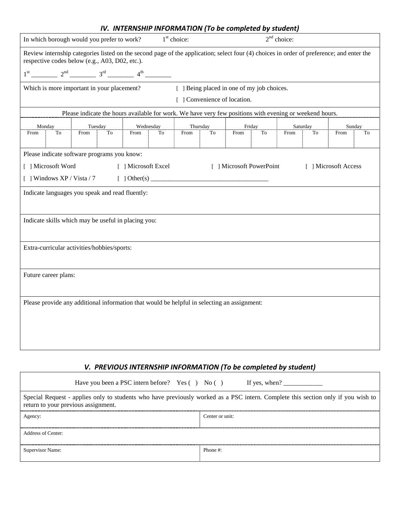|                                                                                                                                                                                            |                                                                                                         | IV. INTERNSTIP INFORMATION TO be completed by student) |    |      |          |                                            |                |      |          |                      |    |
|--------------------------------------------------------------------------------------------------------------------------------------------------------------------------------------------|---------------------------------------------------------------------------------------------------------|--------------------------------------------------------|----|------|----------|--------------------------------------------|----------------|------|----------|----------------------|----|
| $2nd$ choice:<br>$1st$ choice:<br>In which borough would you prefer to work?                                                                                                               |                                                                                                         |                                                        |    |      |          |                                            |                |      |          |                      |    |
| Review internship categories listed on the second page of the application; select four (4) choices in order of preference; and enter the<br>respective codes below (e.g., A03, D02, etc.). |                                                                                                         |                                                        |    |      |          |                                            |                |      |          |                      |    |
|                                                                                                                                                                                            | $1^{st}$ 2 <sup>nd</sup> 2 <sup>nd</sup> 3 <sup>rd</sup> 4 <sup>th</sup> 2 <sup>th</sup>                |                                                        |    |      |          |                                            |                |      |          |                      |    |
|                                                                                                                                                                                            | Which is more important in your placement?                                                              |                                                        |    |      |          | [ ] Being placed in one of my job choices. |                |      |          |                      |    |
|                                                                                                                                                                                            |                                                                                                         |                                                        |    |      |          | [ ] Convenience of location.               |                |      |          |                      |    |
|                                                                                                                                                                                            | Please indicate the hours available for work. We have very few positions with evening or weekend hours. |                                                        |    |      |          |                                            |                |      |          |                      |    |
| Monday                                                                                                                                                                                     | Tuesday                                                                                                 | Wednesday                                              |    |      | Thursday | Friday                                     |                |      | Saturday | Sunday               |    |
| To<br>From                                                                                                                                                                                 | From<br>To                                                                                              | From                                                   | To | From | To       | From                                       | T <sub>o</sub> | From | To       | From                 | To |
|                                                                                                                                                                                            |                                                                                                         |                                                        |    |      |          |                                            |                |      |          |                      |    |
|                                                                                                                                                                                            | Please indicate software programs you know:                                                             |                                                        |    |      |          |                                            |                |      |          |                      |    |
| [ ] Microsoft Word                                                                                                                                                                         |                                                                                                         | [ ] Microsoft Excel                                    |    |      |          | [ ] Microsoft PowerPoint                   |                |      |          | [ ] Microsoft Access |    |
| [ ] Windows $XP / Vista / 7$                                                                                                                                                               |                                                                                                         |                                                        |    |      |          |                                            |                |      |          |                      |    |
|                                                                                                                                                                                            | Indicate languages you speak and read fluently:                                                         |                                                        |    |      |          |                                            |                |      |          |                      |    |
|                                                                                                                                                                                            |                                                                                                         |                                                        |    |      |          |                                            |                |      |          |                      |    |
| Indicate skills which may be useful in placing you:                                                                                                                                        |                                                                                                         |                                                        |    |      |          |                                            |                |      |          |                      |    |
|                                                                                                                                                                                            |                                                                                                         |                                                        |    |      |          |                                            |                |      |          |                      |    |
| Extra-curricular activities/hobbies/sports:                                                                                                                                                |                                                                                                         |                                                        |    |      |          |                                            |                |      |          |                      |    |
|                                                                                                                                                                                            |                                                                                                         |                                                        |    |      |          |                                            |                |      |          |                      |    |
|                                                                                                                                                                                            |                                                                                                         |                                                        |    |      |          |                                            |                |      |          |                      |    |
| Future career plans:                                                                                                                                                                       |                                                                                                         |                                                        |    |      |          |                                            |                |      |          |                      |    |
|                                                                                                                                                                                            |                                                                                                         |                                                        |    |      |          |                                            |                |      |          |                      |    |
| Please provide any additional information that would be helpful in selecting an assignment:                                                                                                |                                                                                                         |                                                        |    |      |          |                                            |                |      |          |                      |    |
|                                                                                                                                                                                            |                                                                                                         |                                                        |    |      |          |                                            |                |      |          |                      |    |
|                                                                                                                                                                                            |                                                                                                         |                                                        |    |      |          |                                            |                |      |          |                      |    |
|                                                                                                                                                                                            |                                                                                                         |                                                        |    |      |          |                                            |                |      |          |                      |    |
|                                                                                                                                                                                            |                                                                                                         |                                                        |    |      |          |                                            |                |      |          |                      |    |

### *V. PREVIOUS INTERNSHIP INFORMATION (To be completed by student)*

| Have you been a PSC intern before? Yes () No () If yes, when?                                                                                                           |                 |  |  |  |
|-------------------------------------------------------------------------------------------------------------------------------------------------------------------------|-----------------|--|--|--|
| Special Request - applies only to students who have previously worked as a PSC intern. Complete this section only if you wish to<br>return to your previous assignment. |                 |  |  |  |
| Agency                                                                                                                                                                  | Center or unit: |  |  |  |
| Address of Center:                                                                                                                                                      |                 |  |  |  |
| Supervisor Name:                                                                                                                                                        | Phone #         |  |  |  |

## *IV. INTERNSHIP INFORMATION (To be completed by student)*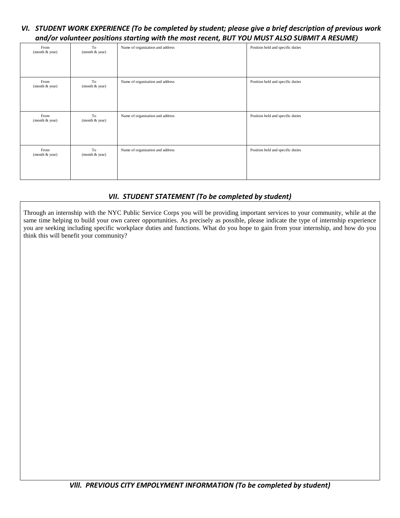## *VI. STUDENT WORK EXPERIENCE (To be completed by student; please give a brief description of previous work and/or volunteer positions starting with the most recent, BUT YOU MUST ALSO SUBMIT A RESUME)*

| From<br>(month & year) | To<br>(month & year) | Name of organization and address | Position held and specific duties |
|------------------------|----------------------|----------------------------------|-----------------------------------|
| From<br>(month & year) | To<br>(month & year) | Name of organization and address | Position held and specific duties |
| From<br>(month & year) | To<br>(month & year) | Name of organization and address | Position held and specific duties |
| From<br>(month & year) | To<br>(month & year) | Name of organization and address | Position held and specific duties |

## *VII. STUDENT STATEMENT (To be completed by student)*

 Through an internship with the NYC Public Service Corps you will be providing important services to your community, while at the think this will benefit your community? same time helping to build your own career opportunities. As precisely as possible, please indicate the type of internship experience you are seeking including specific workplace duties and functions. What do you hope to gain from your internship, and how do you